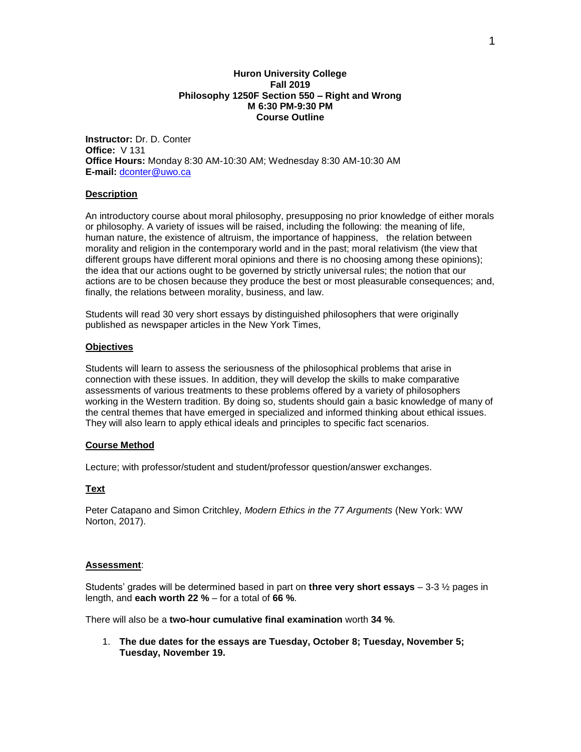### **Huron University College Fall 2019 Philosophy 1250F Section 550 – Right and Wrong M 6:30 PM-9:30 PM Course Outline**

**Instructor:** Dr. D. Conter **Office:** V 131 **Office Hours:** Monday 8:30 AM-10:30 AM; Wednesday 8:30 AM-10:30 AM **E-mail:** [dconter@uwo.ca](mailto:dconter@uwo.ca)

## **Description**

An introductory course about moral philosophy, presupposing no prior knowledge of either morals or philosophy. A variety of issues will be raised, including the following: the meaning of life, human nature, the existence of altruism, the importance of happiness, the relation between morality and religion in the contemporary world and in the past; moral relativism (the view that different groups have different moral opinions and there is no choosing among these opinions); the idea that our actions ought to be governed by strictly universal rules; the notion that our actions are to be chosen because they produce the best or most pleasurable consequences; and, finally, the relations between morality, business, and law.

Students will read 30 very short essays by distinguished philosophers that were originally published as newspaper articles in the New York Times,

## **Objectives**

Students will learn to assess the seriousness of the philosophical problems that arise in connection with these issues. In addition, they will develop the skills to make comparative assessments of various treatments to these problems offered by a variety of philosophers working in the Western tradition. By doing so, students should gain a basic knowledge of many of the central themes that have emerged in specialized and informed thinking about ethical issues. They will also learn to apply ethical ideals and principles to specific fact scenarios.

## **Course Method**

Lecture; with professor/student and student/professor question/answer exchanges.

## **Text**

Peter Catapano and Simon Critchley, *Modern Ethics in the 77 Arguments* (New York: WW Norton, 2017).

## **Assessment**:

Students' grades will be determined based in part on **three very short essays** – 3-3 ½ pages in length, and **each worth 22 %** – for a total of **66 %**.

There will also be a **two-hour cumulative final examination** worth **34 %**.

1. **The due dates for the essays are Tuesday, October 8; Tuesday, November 5; Tuesday, November 19.**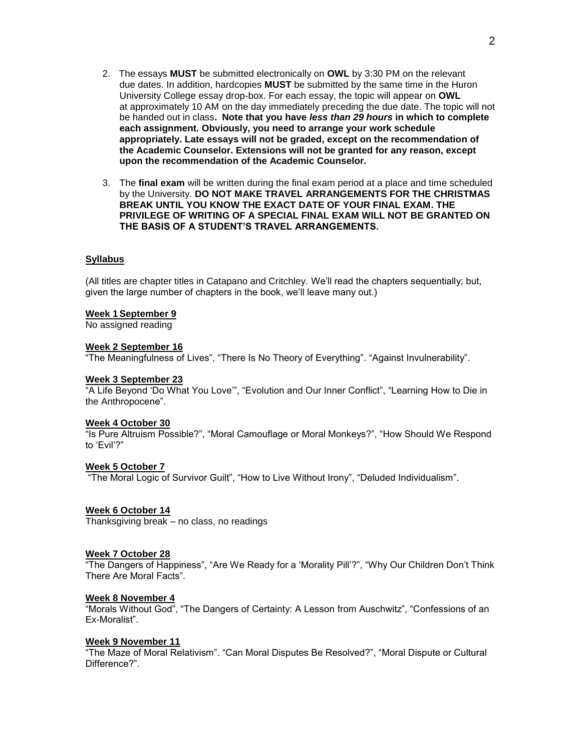- 2. The essays **MUST** be submitted electronically on **OWL** by 3:30 PM on the relevant due dates. In addition, hardcopies **MUST** be submitted by the same time in the Huron University College essay drop-box. For each essay, the topic will appear on **OWL**  at approximately 10 AM on the day immediately preceding the due date. The topic will not be handed out in class**. Note that you have** *less than 29 hours* **in which to complete each assignment. Obviously, you need to arrange your work schedule appropriately. Late essays will not be graded, except on the recommendation of the Academic Counselor. Extensions will not be granted for any reason, except upon the recommendation of the Academic Counselor.**
- 3. The **final exam** will be written during the final exam period at a place and time scheduled by the University. **DO NOT MAKE TRAVEL ARRANGEMENTS FOR THE CHRISTMAS BREAK UNTIL YOU KNOW THE EXACT DATE OF YOUR FINAL EXAM. THE PRIVILEGE OF WRITING OF A SPECIAL FINAL EXAM WILL NOT BE GRANTED ON THE BASIS OF A STUDENT'S TRAVEL ARRANGEMENTS.**

#### **Syllabus**

(All titles are chapter titles in Catapano and Critchley. We'll read the chapters sequentially; but, given the large number of chapters in the book, we'll leave many out.)

#### **Week 1September 9**

No assigned reading

#### **Week 2 September 16**

"The Meaningfulness of Lives", "There Is No Theory of Everything". "Against Invulnerability".

#### **Week 3 September 23**

"A Life Beyond 'Do What You Love'", "Evolution and Our Inner Conflict", "Learning How to Die in the Anthropocene".

#### **Week 4 October 30**

"Is Pure Altruism Possible?", "Moral Camouflage or Moral Monkeys?", "How Should We Respond to 'Evil'?"

#### **Week 5 October 7**

"The Moral Logic of Survivor Guilt", "How to Live Without Irony", "Deluded Individualism".

#### **Week 6 October 14**

Thanksgiving break – no class, no readings

#### **Week 7 October 28**

"The Dangers of Happiness", "Are We Ready for a 'Morality Pill'?", "Why Our Children Don't Think There Are Moral Facts".

#### **Week 8 November 4**

"Morals Without God", "The Dangers of Certainty: A Lesson from Auschwitz", "Confessions of an Ex-Moralist".

#### **Week 9 November 11**

"The Maze of Moral Relativism". "Can Moral Disputes Be Resolved?", "Moral Dispute or Cultural Difference?".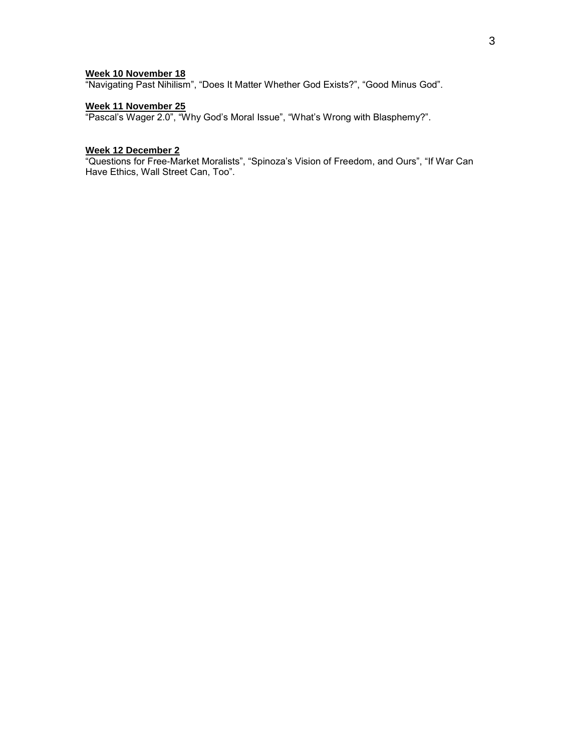### **Week 10 November 18**

"Navigating Past Nihilism", "Does It Matter Whether God Exists?", "Good Minus God".

### **Week 11 November 25**

"Pascal's Wager 2.0", "Why God's Moral Issue", "What's Wrong with Blasphemy?".

#### **Week 12 December 2**

"Questions for Free-Market Moralists", "Spinoza's Vision of Freedom, and Ours", "If War Can Have Ethics, Wall Street Can, Too".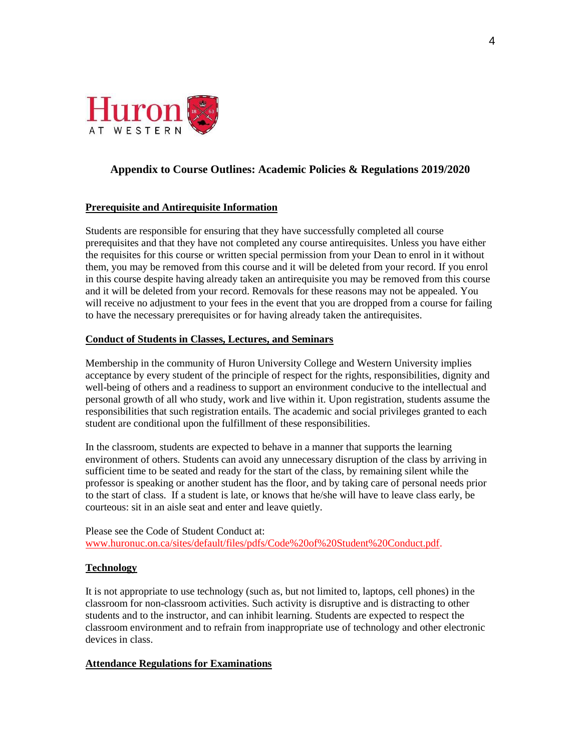

# **Appendix to Course Outlines: Academic Policies & Regulations 2019/2020**

## **Prerequisite and Antirequisite Information**

Students are responsible for ensuring that they have successfully completed all course prerequisites and that they have not completed any course antirequisites. Unless you have either the requisites for this course or written special permission from your Dean to enrol in it without them, you may be removed from this course and it will be deleted from your record. If you enrol in this course despite having already taken an antirequisite you may be removed from this course and it will be deleted from your record. Removals for these reasons may not be appealed. You will receive no adjustment to your fees in the event that you are dropped from a course for failing to have the necessary prerequisites or for having already taken the antirequisites.

## **Conduct of Students in Classes, Lectures, and Seminars**

Membership in the community of Huron University College and Western University implies acceptance by every student of the principle of respect for the rights, responsibilities, dignity and well-being of others and a readiness to support an environment conducive to the intellectual and personal growth of all who study, work and live within it. Upon registration, students assume the responsibilities that such registration entails. The academic and social privileges granted to each student are conditional upon the fulfillment of these responsibilities.

In the classroom, students are expected to behave in a manner that supports the learning environment of others. Students can avoid any unnecessary disruption of the class by arriving in sufficient time to be seated and ready for the start of the class, by remaining silent while the professor is speaking or another student has the floor, and by taking care of personal needs prior to the start of class. If a student is late, or knows that he/she will have to leave class early, be courteous: sit in an aisle seat and enter and leave quietly.

Please see the Code of Student Conduct at: [www.huronuc.on.ca/sites/default/files/pdfs/Code%20of%20Student%20Conduct.pdf.](http://www.huronuc.on.ca/sites/default/files/pdfs/Code%20of%20Student%20Conduct.pdf)

## **Technology**

It is not appropriate to use technology (such as, but not limited to, laptops, cell phones) in the classroom for non-classroom activities. Such activity is disruptive and is distracting to other students and to the instructor, and can inhibit learning. Students are expected to respect the classroom environment and to refrain from inappropriate use of technology and other electronic devices in class.

## **Attendance Regulations for Examinations**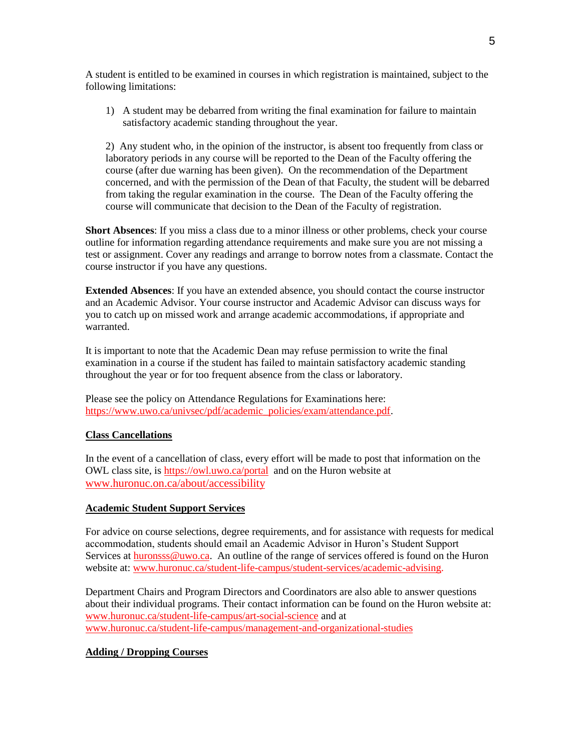A student is entitled to be examined in courses in which registration is maintained, subject to the following limitations:

1) A student may be debarred from writing the final examination for failure to maintain satisfactory academic standing throughout the year.

2) Any student who, in the opinion of the instructor, is absent too frequently from class or laboratory periods in any course will be reported to the Dean of the Faculty offering the course (after due warning has been given). On the recommendation of the Department concerned, and with the permission of the Dean of that Faculty, the student will be debarred from taking the regular examination in the course. The Dean of the Faculty offering the course will communicate that decision to the Dean of the Faculty of registration.

**Short Absences**: If you miss a class due to a minor illness or other problems, check your course outline for information regarding attendance requirements and make sure you are not missing a test or assignment. Cover any readings and arrange to borrow notes from a classmate. Contact the course instructor if you have any questions.

**Extended Absences**: If you have an extended absence, you should contact the course instructor and an Academic Advisor. Your course instructor and Academic Advisor can discuss ways for you to catch up on missed work and arrange academic accommodations, if appropriate and warranted.

It is important to note that the Academic Dean may refuse permission to write the final examination in a course if the student has failed to maintain satisfactory academic standing throughout the year or for too frequent absence from the class or laboratory.

Please see the policy on Attendance Regulations for Examinations here: [https://www.uwo.ca/univsec/pdf/academic\\_policies/exam/attendance.pdf.](https://www.uwo.ca/univsec/pdf/academic_policies/exam/attendance.pdf)

# **Class Cancellations**

In the event of a cancellation of class, every effort will be made to post that information on the OWL class site, is<https://owl.uwo.ca/portal>and on the Huron website at [www.huronuc.on.ca/about/accessibility](http://www.huronuc.on.ca/about/accessibility)

## **Academic Student Support Services**

For advice on course selections, degree requirements, and for assistance with requests for medical accommodation, students should email an Academic Advisor in Huron's Student Support Services a[t huronsss@uwo.ca.](mailto:huronsss@uwo.ca) An outline of the range of services offered is found on the Huron website at: [www.huronuc.ca/student-life-campus/student-services/academic-advising.](http://www.huronuc.ca/student-life-campus/student-services/academic-advising)

Department Chairs and Program Directors and Coordinators are also able to answer questions about their individual programs. Their contact information can be found on the Huron website at: [www.huronuc.ca/student-life-campus/art-social-science](http://www.huronuc.ca/student-life-campus/art-social-science) and at [www.huronuc.ca/student-life-campus/management-and-organizational-studies](http://www.huronuc.ca/student-life-campus/management-and-organizational-studies)

# **Adding / Dropping Courses**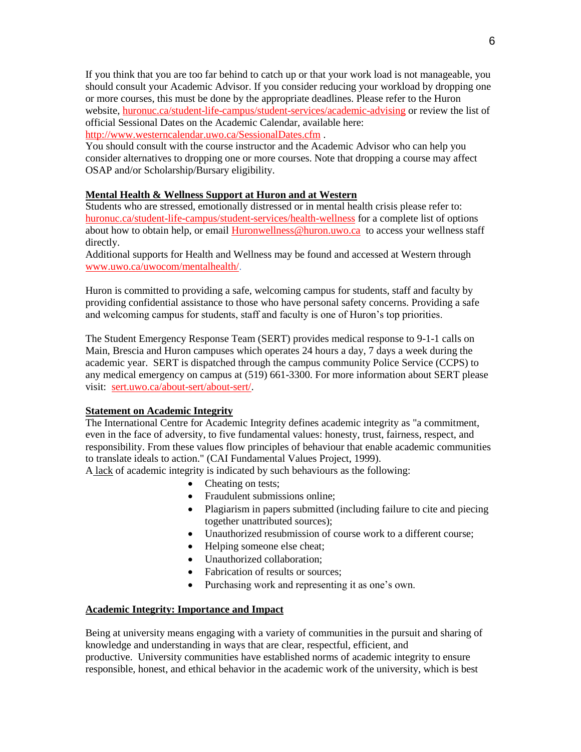If you think that you are too far behind to catch up or that your work load is not manageable, you should consult your Academic Advisor. If you consider reducing your workload by dropping one or more courses, this must be done by the appropriate deadlines. Please refer to the Huron website, [huronuc.ca/student-life-campus/student-services/academic-advising](https://huronuc.ca/student-life-campus/student-services/academic-advising) or review the list of official Sessional Dates on the Academic Calendar, available here: <http://www.westerncalendar.uwo.ca/SessionalDates.cfm> .

You should consult with the course instructor and the Academic Advisor who can help you consider alternatives to dropping one or more courses. Note that dropping a course may affect OSAP and/or Scholarship/Bursary eligibility.

# **Mental Health & Wellness Support at Huron and at Western**

Students who are stressed, emotionally distressed or in mental health crisis please refer to: [huronuc.ca/student-life-campus/student-services/health-wellness](https://huronuc.ca/student-life-campus/student-services/health-wellness) for a complete list of options about how to obtain help, or email [Huronwellness@huron.uwo.ca](mailto:Huronwellness@huron.uwo.ca) to access your wellness staff directly.

Additional supports for Health and Wellness may be found and accessed at Western through [www.uwo.ca/uwocom/mentalhealth/.](http://www.uwo.ca/uwocom/mentalhealth/)

Huron is committed to providing a safe, welcoming campus for students, staff and faculty by providing confidential assistance to those who have personal safety concerns. Providing a safe and welcoming campus for students, staff and faculty is one of Huron's top priorities.

The Student Emergency Response Team (SERT) provides medical response to 9-1-1 calls on Main, Brescia and Huron campuses which operates 24 hours a day, 7 days a week during the academic year. SERT is dispatched through the campus community Police Service (CCPS) to any medical emergency on campus at (519) 661-3300. For more information about SERT please visit: [sert.uwo.ca/about-sert/about-sert/.](https://sert.uwo.ca/about-sert/about-sert/)

# **Statement on Academic Integrity**

The International Centre for Academic Integrity defines academic integrity as "a commitment, even in the face of adversity, to five fundamental values: honesty, trust, fairness, respect, and responsibility. From these values flow principles of behaviour that enable academic communities to translate ideals to action." (CAI Fundamental Values Project, 1999).

A lack of academic integrity is indicated by such behaviours as the following:

- Cheating on tests;
- Fraudulent submissions online;
- Plagiarism in papers submitted (including failure to cite and piecing together unattributed sources);
- Unauthorized resubmission of course work to a different course;
- Helping someone else cheat;
- Unauthorized collaboration:
- Fabrication of results or sources;
- Purchasing work and representing it as one's own.

# **Academic Integrity: Importance and Impact**

Being at university means engaging with a variety of communities in the pursuit and sharing of knowledge and understanding in ways that are clear, respectful, efficient, and productive. University communities have established norms of academic integrity to ensure responsible, honest, and ethical behavior in the academic work of the university, which is best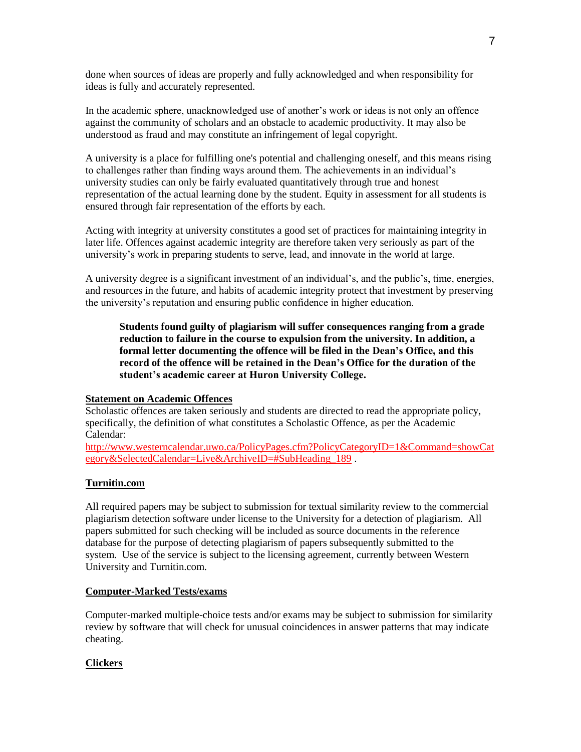done when sources of ideas are properly and fully acknowledged and when responsibility for ideas is fully and accurately represented.

In the academic sphere, unacknowledged use of another's work or ideas is not only an offence against the community of scholars and an obstacle to academic productivity. It may also be understood as fraud and may constitute an infringement of legal copyright.

A university is a place for fulfilling one's potential and challenging oneself, and this means rising to challenges rather than finding ways around them. The achievements in an individual's university studies can only be fairly evaluated quantitatively through true and honest representation of the actual learning done by the student. Equity in assessment for all students is ensured through fair representation of the efforts by each.

Acting with integrity at university constitutes a good set of practices for maintaining integrity in later life. Offences against academic integrity are therefore taken very seriously as part of the university's work in preparing students to serve, lead, and innovate in the world at large.

A university degree is a significant investment of an individual's, and the public's, time, energies, and resources in the future, and habits of academic integrity protect that investment by preserving the university's reputation and ensuring public confidence in higher education.

**Students found guilty of plagiarism will suffer consequences ranging from a grade reduction to failure in the course to expulsion from the university. In addition, a formal letter documenting the offence will be filed in the Dean's Office, and this record of the offence will be retained in the Dean's Office for the duration of the student's academic career at Huron University College.**

## **Statement on Academic Offences**

Scholastic offences are taken seriously and students are directed to read the appropriate policy, specifically, the definition of what constitutes a Scholastic Offence, as per the Academic Calendar:

[http://www.westerncalendar.uwo.ca/PolicyPages.cfm?PolicyCategoryID=1&Command=showCat](http://www.westerncalendar.uwo.ca/PolicyPages.cfm?PolicyCategoryID=1&Command=showCategory&SelectedCalendar=Live&ArchiveID=#SubHeading_189) [egory&SelectedCalendar=Live&ArchiveID=#SubHeading\\_189](http://www.westerncalendar.uwo.ca/PolicyPages.cfm?PolicyCategoryID=1&Command=showCategory&SelectedCalendar=Live&ArchiveID=#SubHeading_189) .

# **Turnitin.com**

All required papers may be subject to submission for textual similarity review to the commercial plagiarism detection software under license to the University for a detection of plagiarism. All papers submitted for such checking will be included as source documents in the reference database for the purpose of detecting plagiarism of papers subsequently submitted to the system. Use of the service is subject to the licensing agreement, currently between Western University and Turnitin.com.

## **Computer-Marked Tests/exams**

Computer-marked multiple-choice tests and/or exams may be subject to submission for similarity review by software that will check for unusual coincidences in answer patterns that may indicate cheating.

# **Clickers**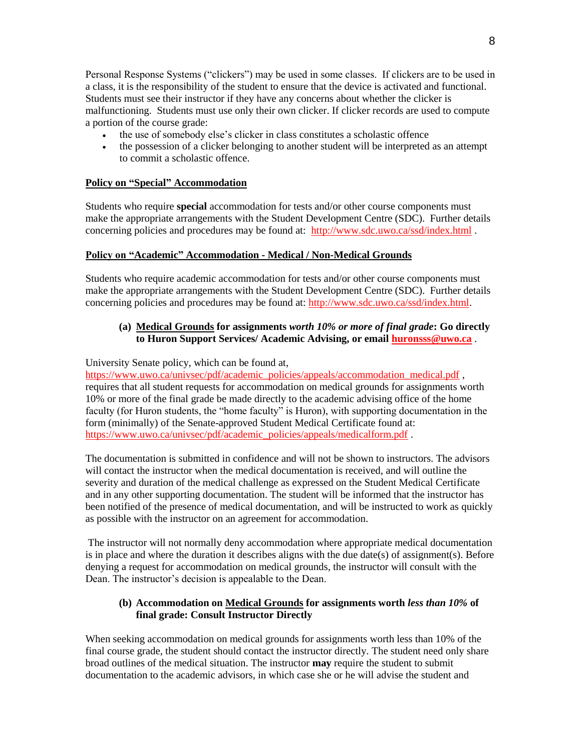Personal Response Systems ("clickers") may be used in some classes. If clickers are to be used in a class, it is the responsibility of the student to ensure that the device is activated and functional. Students must see their instructor if they have any concerns about whether the clicker is malfunctioning. Students must use only their own clicker. If clicker records are used to compute a portion of the course grade:

- the use of somebody else's clicker in class constitutes a scholastic offence
- the possession of a clicker belonging to another student will be interpreted as an attempt to commit a scholastic offence.

# **Policy on "Special" Accommodation**

Students who require **special** accommodation for tests and/or other course components must make the appropriate arrangements with the Student Development Centre (SDC). Further details concerning policies and procedures may be found at: <http://www.sdc.uwo.ca/ssd/index.html> .

# **Policy on "Academic" Accommodation - Medical / Non-Medical Grounds**

Students who require academic accommodation for tests and/or other course components must make the appropriate arrangements with the Student Development Centre (SDC). Further details concerning policies and procedures may be found at: [http://www.sdc.uwo.ca/ssd/index.html.](http://www.sdc.uwo.ca/ssd/index.html)

# **(a) Medical Grounds for assignments** *worth 10% or more of final grade***: Go directly to Huron Support Services/ Academic Advising, or email [huronsss@uwo.ca](mailto:huronsss@uwo.ca)** .

University Senate policy, which can be found at,

[https://www.uwo.ca/univsec/pdf/academic\\_policies/appeals/accommodation\\_medical.pdf](https://www.uwo.ca/univsec/pdf/academic_policies/appeals/accommodation_medical.pdf) , requires that all student requests for accommodation on medical grounds for assignments worth 10% or more of the final grade be made directly to the academic advising office of the home faculty (for Huron students, the "home faculty" is Huron), with supporting documentation in the form (minimally) of the Senate-approved Student Medical Certificate found at: [https://www.uwo.ca/univsec/pdf/academic\\_policies/appeals/medicalform.pdf](https://www.uwo.ca/univsec/pdf/academic_policies/appeals/medicalform.pdf).

The documentation is submitted in confidence and will not be shown to instructors. The advisors will contact the instructor when the medical documentation is received, and will outline the severity and duration of the medical challenge as expressed on the Student Medical Certificate and in any other supporting documentation. The student will be informed that the instructor has been notified of the presence of medical documentation, and will be instructed to work as quickly as possible with the instructor on an agreement for accommodation.

The instructor will not normally deny accommodation where appropriate medical documentation is in place and where the duration it describes aligns with the due date(s) of assignment(s). Before denying a request for accommodation on medical grounds, the instructor will consult with the Dean. The instructor's decision is appealable to the Dean.

# **(b) Accommodation on Medical Grounds for assignments worth** *less than 10%* **of final grade: Consult Instructor Directly**

When seeking accommodation on medical grounds for assignments worth less than 10% of the final course grade, the student should contact the instructor directly. The student need only share broad outlines of the medical situation. The instructor **may** require the student to submit documentation to the academic advisors, in which case she or he will advise the student and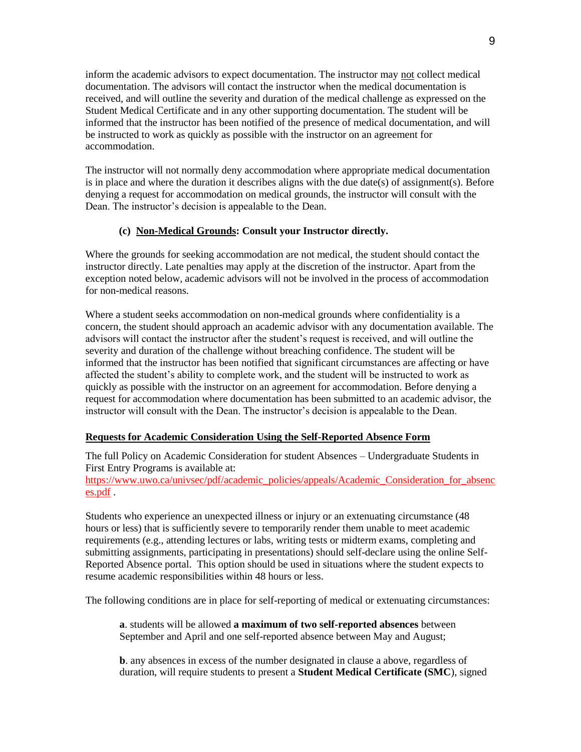inform the academic advisors to expect documentation. The instructor may not collect medical documentation. The advisors will contact the instructor when the medical documentation is received, and will outline the severity and duration of the medical challenge as expressed on the Student Medical Certificate and in any other supporting documentation. The student will be informed that the instructor has been notified of the presence of medical documentation, and will be instructed to work as quickly as possible with the instructor on an agreement for accommodation.

The instructor will not normally deny accommodation where appropriate medical documentation is in place and where the duration it describes aligns with the due date(s) of assignment(s). Before denying a request for accommodation on medical grounds, the instructor will consult with the Dean. The instructor's decision is appealable to the Dean.

# **(c) Non-Medical Grounds: Consult your Instructor directly.**

Where the grounds for seeking accommodation are not medical, the student should contact the instructor directly. Late penalties may apply at the discretion of the instructor. Apart from the exception noted below, academic advisors will not be involved in the process of accommodation for non-medical reasons.

Where a student seeks accommodation on non-medical grounds where confidentiality is a concern, the student should approach an academic advisor with any documentation available. The advisors will contact the instructor after the student's request is received, and will outline the severity and duration of the challenge without breaching confidence. The student will be informed that the instructor has been notified that significant circumstances are affecting or have affected the student's ability to complete work, and the student will be instructed to work as quickly as possible with the instructor on an agreement for accommodation. Before denying a request for accommodation where documentation has been submitted to an academic advisor, the instructor will consult with the Dean. The instructor's decision is appealable to the Dean.

# **Requests for Academic Consideration Using the Self-Reported Absence Form**

The full Policy on Academic Consideration for student Absences – Undergraduate Students in First Entry Programs is available at:

[https://www.uwo.ca/univsec/pdf/academic\\_policies/appeals/Academic\\_Consideration\\_for\\_absenc](https://www.uwo.ca/univsec/pdf/academic_policies/appeals/Academic_Consideration_for_absences.pdf) [es.pdf](https://www.uwo.ca/univsec/pdf/academic_policies/appeals/Academic_Consideration_for_absences.pdf) .

Students who experience an unexpected illness or injury or an extenuating circumstance (48 hours or less) that is sufficiently severe to temporarily render them unable to meet academic requirements (e.g., attending lectures or labs, writing tests or midterm exams, completing and submitting assignments, participating in presentations) should self-declare using the online Self-Reported Absence portal. This option should be used in situations where the student expects to resume academic responsibilities within 48 hours or less.

The following conditions are in place for self-reporting of medical or extenuating circumstances:

**a**. students will be allowed **a maximum of two self-reported absences** between September and April and one self-reported absence between May and August;

**b**. any absences in excess of the number designated in clause a above, regardless of duration, will require students to present a **Student Medical Certificate (SMC**), signed